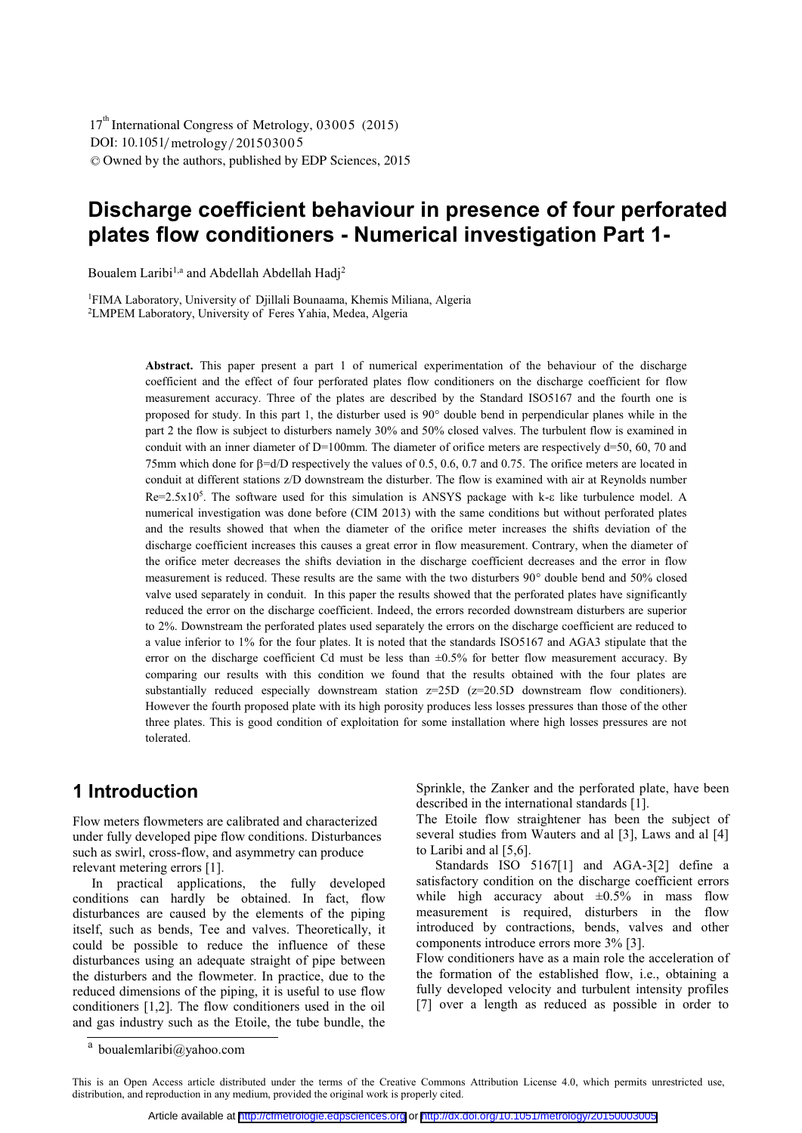# **Discharge coefficient behaviour in presence of four perforated plates flow conditioners - Numerical investigation Part 1-**

Boualem Laribi<sup>1,a</sup> and Abdellah Abdellah Hadj<sup>2</sup>

1FIMA Laboratory, University of Djillali Bounaama, Khemis Miliana, Algeria 2LMPEM Laboratory, University of Feres Yahia, Medea, Algeria

**Abstract.** This paper present a part 1 of numerical experimentation of the behaviour of the discharge coefficient and the effect of four perforated plates flow conditioners on the discharge coefficient for flow measurement accuracy. Three of the plates are described by the Standard ISO5167 and the fourth one is proposed for study. In this part 1, the disturber used is 90° double bend in perpendicular planes while in the part 2 the flow is subject to disturbers namely 30% and 50% closed valves. The turbulent flow is examined in conduit with an inner diameter of  $D=100$ mm. The diameter of orifice meters are respectively d=50, 60, 70 and 75mm which done for  $\beta = d/D$  respectively the values of 0.5, 0.6, 0.7 and 0.75. The orifice meters are located in conduit at different stations z/D downstream the disturber. The flow is examined with air at Reynolds number  $Re=2.5x10<sup>5</sup>$ . The software used for this simulation is ANSYS package with k- $\varepsilon$  like turbulence model. A numerical investigation was done before (CIM 2013) with the same conditions but without perforated plates and the results showed that when the diameter of the orifice meter increases the shifts deviation of the discharge coefficient increases this causes a great error in flow measurement. Contrary, when the diameter of the orifice meter decreases the shifts deviation in the discharge coefficient decreases and the error in flow measurement is reduced. These results are the same with the two disturbers 90° double bend and 50% closed valve used separately in conduit. In this paper the results showed that the perforated plates have significantly reduced the error on the discharge coefficient. Indeed, the errors recorded downstream disturbers are superior to 2%. Downstream the perforated plates used separately the errors on the discharge coefficient are reduced to a value inferior to 1% for the four plates. It is noted that the standards ISO5167 and AGA3 stipulate that the error on the discharge coefficient Cd must be less than ±0.5% for better flow measurement accuracy. By comparing our results with this condition we found that the results obtained with the four plates are substantially reduced especially downstream station  $z=25D$  ( $z=20.5D$  downstream flow conditioners). However the fourth proposed plate with its high porosity produces less losses pressures than those of the other three plates. This is good condition of exploitation for some installation where high losses pressures are not tolerated.

## **1 Introduction**

Flow meters flowmeters are calibrated and characterized under fully developed pipe flow conditions. Disturbances such as swirl, cross-flow, and asymmetry can produce relevant metering errors [1].

In practical applications, the fully developed conditions can hardly be obtained. In fact, flow disturbances are caused by the elements of the piping itself, such as bends, Tee and valves. Theoretically, it could be possible to reduce the influence of these disturbances using an adequate straight of pipe between the disturbers and the flowmeter. In practice, due to the reduced dimensions of the piping, it is useful to use flow conditioners [1,2]. The flow conditioners used in the oil and gas industry such as the Etoile, the tube bundle, the

Sprinkle, the Zanker and the perforated plate, have been described in the international standards [1].

The Etoile flow straightener has been the subject of several studies from Wauters and al [3], Laws and al [4] to Laribi and al [5,6].

Standards ISO 5167[1] and AGA-3[2] define a satisfactory condition on the discharge coefficient errors while high accuracy about  $\pm 0.5\%$  in mass flow measurement is required, disturbers in the flow introduced by contractions, bends, valves and other components introduce errors more 3% [3].

Flow conditioners have as a main role the acceleration of the formation of the established flow, i.e., obtaining a fully developed velocity and turbulent intensity profiles [7] over a length as reduced as possible in order to

a boualemlaribi@yahoo.com

This is an Open Access article distributed under the terms of the Creative Commons Attribution License 4.0, which permits unrestricted use, distribution, and reproduction in any medium, provided the original work is properly cited.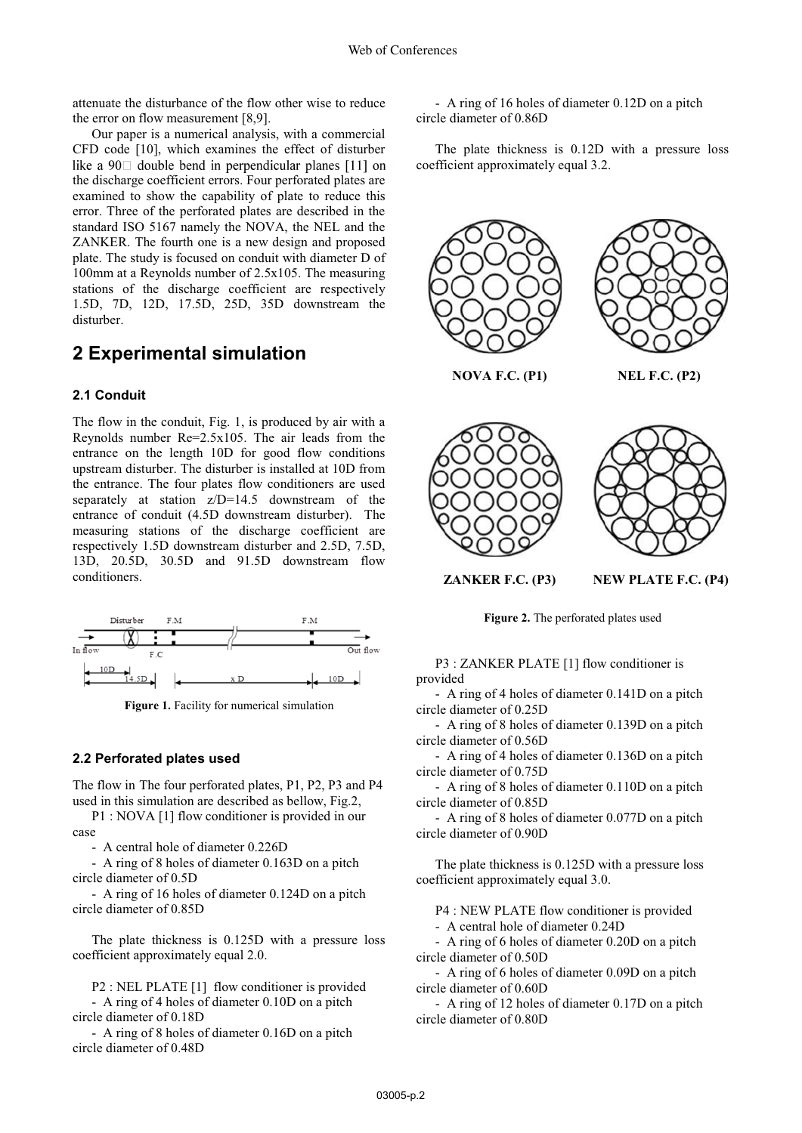attenuate the disturbance of the flow other wise to reduce the error on flow measurement [8,9].

Our paper is a numerical analysis, with a commercial CFD code [10], which examines the effect of disturber like a 90 $\Box$  double bend in perpendicular planes [11] on the discharge coefficient errors. Four perforated plates are examined to show the capability of plate to reduce this error. Three of the perforated plates are described in the standard ISO 5167 namely the NOVA, the NEL and the ZANKER. The fourth one is a new design and proposed plate. The study is focused on conduit with diameter D of 100mm at a Reynolds number of 2.5x105. The measuring stations of the discharge coefficient are respectively 1.5D, 7D, 12D, 17.5D, 25D, 35D downstream the disturber.

## **2 Experimental simulation**

### **2.1 Conduit**

The flow in the conduit, Fig. 1, is produced by air with a Reynolds number Re=2.5x105. The air leads from the entrance on the length 10D for good flow conditions upstream disturber. The disturber is installed at 10D from the entrance. The four plates flow conditioners are used separately at station z/D=14.5 downstream of the entrance of conduit (4.5D downstream disturber). The measuring stations of the discharge coefficient are respectively 1.5D downstream disturber and 2.5D, 7.5D, 13D, 20.5D, 30.5D and 91.5D downstream flow conditioners.



**Figure 1.** Facility for numerical simulation

#### **2.2 Perforated plates used**

The flow in The four perforated plates, P1, P2, P3 and P4 used in this simulation are described as bellow, Fig.2,

P1 : NOVA [1] flow conditioner is provided in our case

- A central hole of diameter 0.226D

- A ring of 8 holes of diameter 0.163D on a pitch circle diameter of 0.5D

- A ring of 16 holes of diameter 0.124D on a pitch circle diameter of 0.85D

The plate thickness is 0.125D with a pressure loss coefficient approximately equal 2.0.

P2 : NEL PLATE [1] flow conditioner is provided

- A ring of 4 holes of diameter 0.10D on a pitch circle diameter of 0.18D

- A ring of 8 holes of diameter 0.16D on a pitch circle diameter of 0.48D

- A ring of 16 holes of diameter 0.12D on a pitch circle diameter of 0.86D

The plate thickness is 0.12D with a pressure loss coefficient approximately equal 3.2.



**Figure 2.** The perforated plates used

P3 : ZANKER PLATE [1] flow conditioner is provided

- A ring of 4 holes of diameter 0.141D on a pitch circle diameter of 0.25D

- A ring of 8 holes of diameter 0.139D on a pitch circle diameter of 0.56D

- A ring of 4 holes of diameter 0.136D on a pitch circle diameter of 0.75D

- A ring of 8 holes of diameter 0.110D on a pitch circle diameter of 0.85D

- A ring of 8 holes of diameter 0.077D on a pitch circle diameter of 0.90D

The plate thickness is 0.125D with a pressure loss coefficient approximately equal 3.0.

P4 : NEW PLATE flow conditioner is provided

- A central hole of diameter 0.24D

- A ring of 6 holes of diameter 0.20D on a pitch circle diameter of 0.50D

- A ring of 6 holes of diameter 0.09D on a pitch circle diameter of 0.60D

- A ring of 12 holes of diameter 0.17D on a pitch circle diameter of 0.80D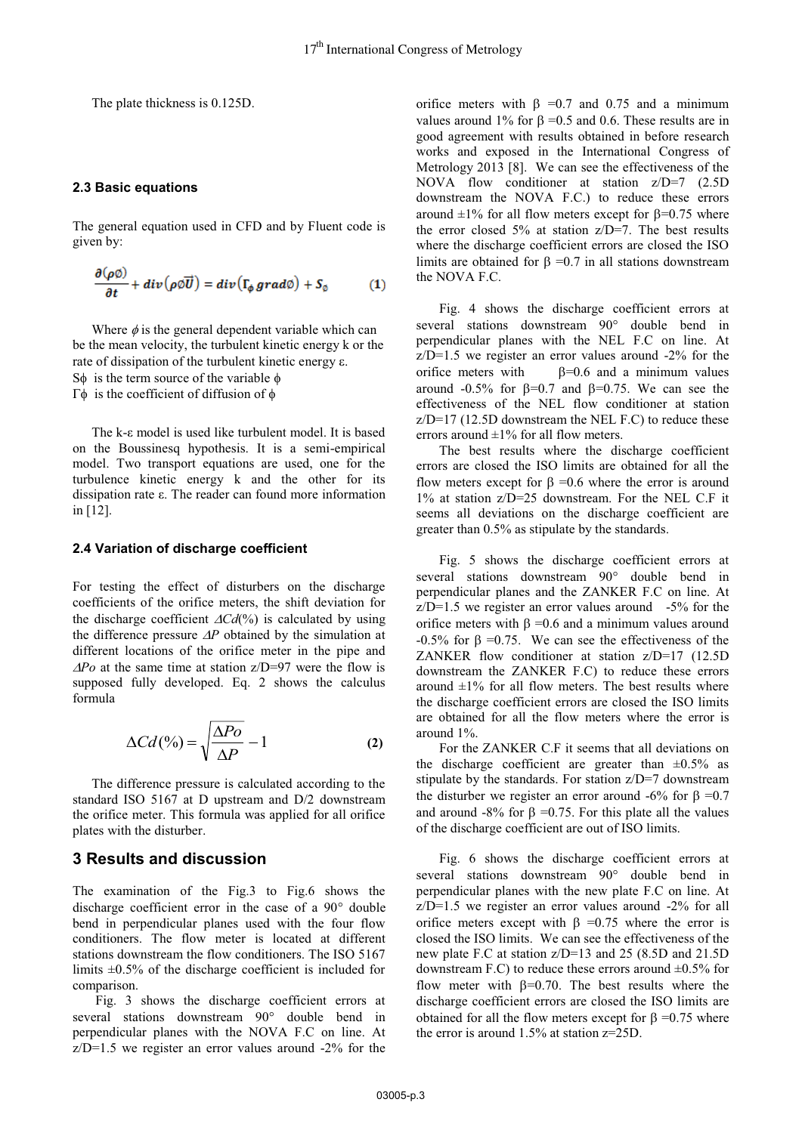The plate thickness is 0.125D.

#### **2.3 Basic equations**

The general equation used in CFD and by Fluent code is given by:

$$
\frac{\partial(\rho\emptyset)}{\partial t} + div(\rho\emptyset\overrightarrow{U}) = div(\Gamma_{\phi}\,grad\emptyset) + S_{\emptyset} \tag{1}
$$

Where  $\phi$  is the general dependent variable which can be the mean velocity, the turbulent kinetic energy k or the rate of dissipation of the turbulent kinetic energy  $\varepsilon$ . S $\phi$  is the term source of the variable  $\phi$  $\Gamma \phi$  is the coefficient of diffusion of  $\phi$ 

The k-ε model is used like turbulent model. It is based on the Boussinesq hypothesis. It is a semi-empirical model. Two transport equations are used, one for the turbulence kinetic energy k and the other for its dissipation rate ε. The reader can found more information in [12].

#### **2.4 Variation of discharge coefficient**

For testing the effect of disturbers on the discharge coefficients of the orifice meters, the shift deviation for the discharge coefficient  $\Delta Cd(^{\circ}\%)$  is calculated by using the difference pressure  $\Delta P$  obtained by the simulation at different locations of the orifice meter in the pipe and  $\Delta P$ *o* at the same time at station  $z/D=97$  were the flow is supposed fully developed. Eq. 2 shows the calculus formula

$$
\Delta Cd(^{0}\!\!/\circ) = \sqrt{\frac{\Delta Po}{\Delta P}} - 1\tag{2}
$$

The difference pressure is calculated according to the standard ISO 5167 at D upstream and D/2 downstream the orifice meter. This formula was applied for all orifice plates with the disturber.

### **3 Results and discussion**

The examination of the Fig.3 to Fig.6 shows the discharge coefficient error in the case of a 90° double bend in perpendicular planes used with the four flow conditioners. The flow meter is located at different stations downstream the flow conditioners. The ISO 5167 limits  $\pm 0.5\%$  of the discharge coefficient is included for comparison.

 Fig. 3 shows the discharge coefficient errors at several stations downstream 90° double bend in perpendicular planes with the NOVA F.C on line. At z/D=1.5 we register an error values around -2% for the

orifice meters with  $\beta$  =0.7 and 0.75 and a minimum values around 1% for  $\beta$  =0.5 and 0.6. These results are in good agreement with results obtained in before research works and exposed in the International Congress of Metrology 2013 [8]. We can see the effectiveness of the NOVA flow conditioner at station z/D=7 (2.5D downstream the NOVA F.C.) to reduce these errors around  $\pm 1\%$  for all flow meters except for  $\beta = 0.75$  where the error closed  $5\%$  at station  $z/D=7$ . The best results where the discharge coefficient errors are closed the ISO limits are obtained for  $\beta = 0.7$  in all stations downstream the NOVA F.C.

 Fig. 4 shows the discharge coefficient errors at several stations downstream 90° double bend in perpendicular planes with the NEL F.C on line. At z/D=1.5 we register an error values around -2% for the orifice meters with  $\beta=0.6$  and a minimum values around -0.5% for  $\beta$ =0.7 and  $\beta$ =0.75. We can see the effectiveness of the NEL flow conditioner at station z/D=17 (12.5D downstream the NEL F.C) to reduce these errors around  $\pm 1\%$  for all flow meters.

 The best results where the discharge coefficient errors are closed the ISO limits are obtained for all the flow meters except for  $\beta = 0.6$  where the error is around 1% at station z/D=25 downstream. For the NEL C.F it seems all deviations on the discharge coefficient are greater than 0.5% as stipulate by the standards.

 Fig. 5 shows the discharge coefficient errors at several stations downstream 90° double bend in perpendicular planes and the ZANKER F.C on line. At  $z/D=1.5$  we register an error values around  $-5\%$  for the orifice meters with  $\beta = 0.6$  and a minimum values around  $-0.5\%$  for  $\beta = 0.75$ . We can see the effectiveness of the ZANKER flow conditioner at station z/D=17 (12.5D downstream the ZANKER F.C) to reduce these errors around  $\pm 1\%$  for all flow meters. The best results where the discharge coefficient errors are closed the ISO limits are obtained for all the flow meters where the error is around 1%.

 For the ZANKER C.F it seems that all deviations on the discharge coefficient are greater than  $\pm 0.5\%$  as stipulate by the standards. For station z/D=7 downstream the disturber we register an error around -6% for  $\beta = 0.7$ and around -8% for  $\beta$  =0.75. For this plate all the values of the discharge coefficient are out of ISO limits.

 Fig. 6 shows the discharge coefficient errors at several stations downstream 90° double bend in perpendicular planes with the new plate F.C on line. At z/D=1.5 we register an error values around -2% for all orifice meters except with  $\beta$  =0.75 where the error is closed the ISO limits. We can see the effectiveness of the new plate F.C at station z/D=13 and 25 (8.5D and 21.5D downstream F.C) to reduce these errors around  $\pm 0.5\%$  for flow meter with  $\beta$ =0.70. The best results where the discharge coefficient errors are closed the ISO limits are obtained for all the flow meters except for  $\beta = 0.75$  where the error is around 1.5% at station z=25D.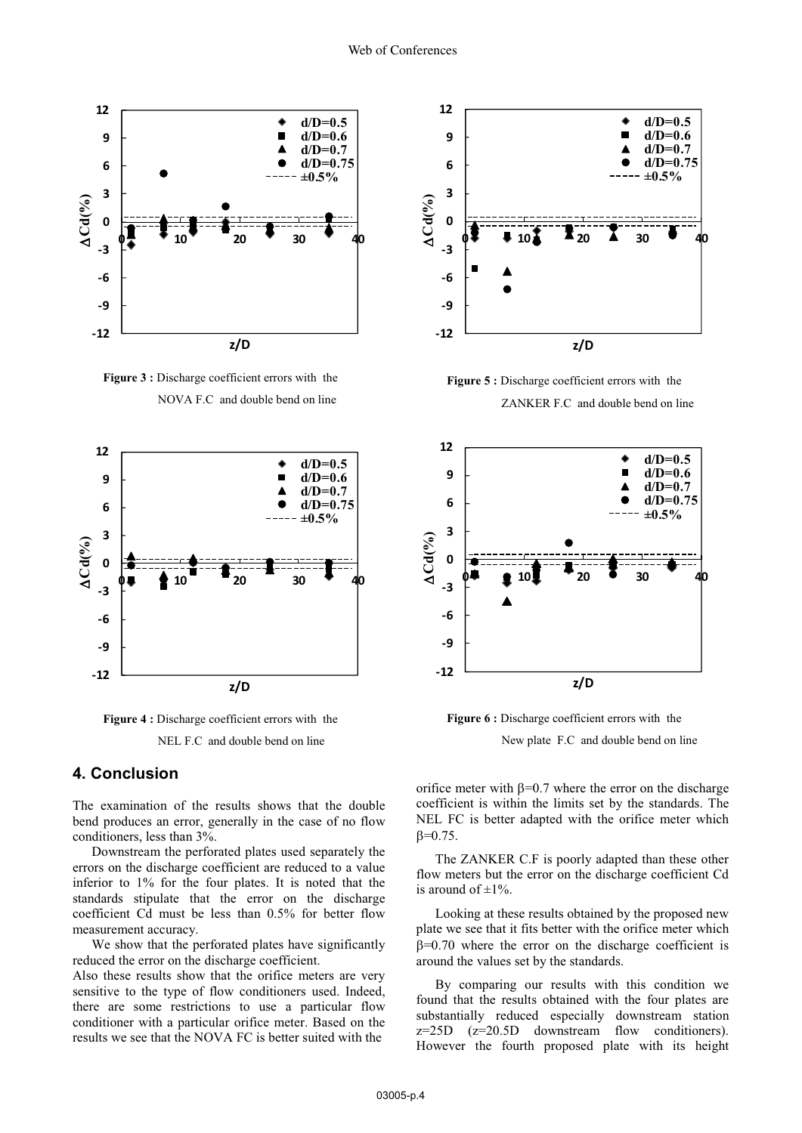

Figure 3 : Discharge coefficient errors with the NOVA F.C and double bend on line



**Figure 4 :** Discharge coefficient errors with the NEL F.C and double bend on line

## **4. Conclusion**

The examination of the results shows that the double bend produces an error, generally in the case of no flow conditioners, less than 3%.

 Downstream the perforated plates used separately the errors on the discharge coefficient are reduced to a value inferior to 1% for the four plates. It is noted that the standards stipulate that the error on the discharge coefficient Cd must be less than 0.5% for better flow measurement accuracy.

 We show that the perforated plates have significantly reduced the error on the discharge coefficient.

Also these results show that the orifice meters are very sensitive to the type of flow conditioners used. Indeed, there are some restrictions to use a particular flow conditioner with a particular orifice meter. Based on the results we see that the NOVA FC is better suited with the



**Figure 5 :** Discharge coefficient errors with the ZANKER F.C and double bend on line



**Figure 6 :** Discharge coefficient errors with the New plate F.C and double bend on line

orifice meter with  $\beta$ =0.7 where the error on the discharge coefficient is within the limits set by the standards. The NEL FC is better adapted with the orifice meter which  $\beta = 0.75$ .

 The ZANKER C.F is poorly adapted than these other flow meters but the error on the discharge coefficient Cd is around of  $\pm 1\%$ .

 Looking at these results obtained by the proposed new plate we see that it fits better with the orifice meter which  $\beta$ =0.70 where the error on the discharge coefficient is around the values set by the standards.

 By comparing our results with this condition we found that the results obtained with the four plates are substantially reduced especially downstream station  $z=25D$   $(z=20.5D$  downstream flow conditioners). However the fourth proposed plate with its height